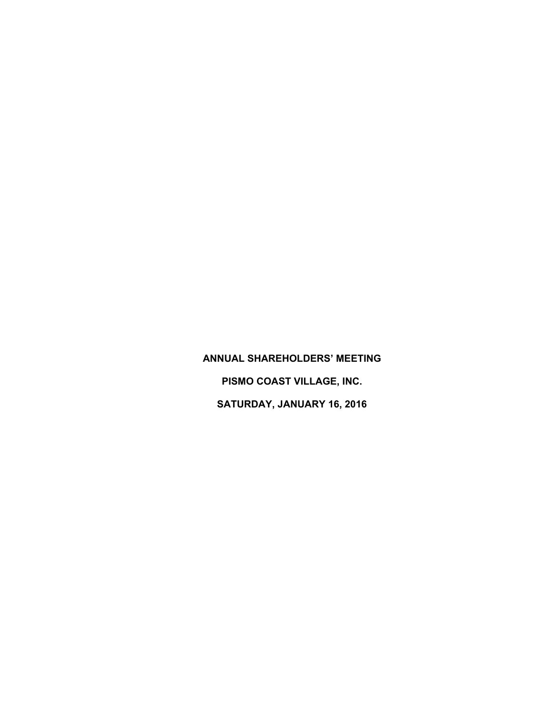**ANNUAL SHAREHOLDERS' MEETING PISMO COAST VILLAGE, INC. SATURDAY, JANUARY 16, 2016**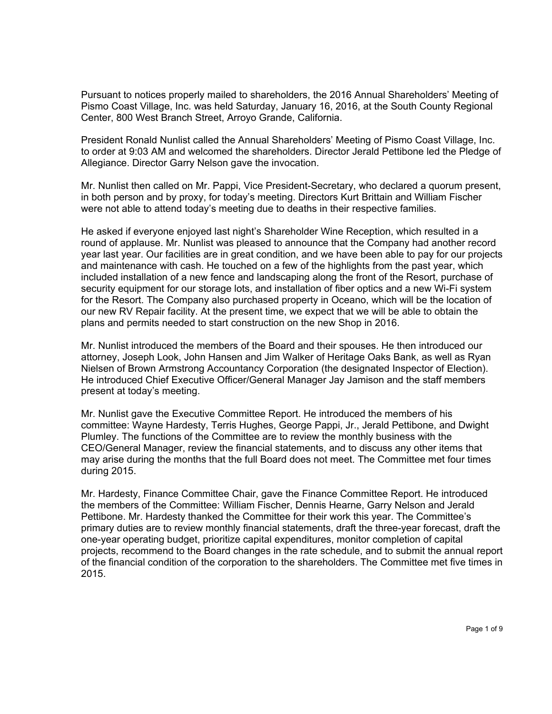Pursuant to notices properly mailed to shareholders, the 2016 Annual Shareholders' Meeting of Pismo Coast Village, Inc. was held Saturday, January 16, 2016, at the South County Regional Center, 800 West Branch Street, Arroyo Grande, California.

President Ronald Nunlist called the Annual Shareholders' Meeting of Pismo Coast Village, Inc. to order at 9:03 AM and welcomed the shareholders. Director Jerald Pettibone led the Pledge of Allegiance. Director Garry Nelson gave the invocation.

Mr. Nunlist then called on Mr. Pappi, Vice President-Secretary, who declared a quorum present, in both person and by proxy, for today's meeting. Directors Kurt Brittain and William Fischer were not able to attend today's meeting due to deaths in their respective families.

He asked if everyone enjoyed last night's Shareholder Wine Reception, which resulted in a round of applause. Mr. Nunlist was pleased to announce that the Company had another record year last year. Our facilities are in great condition, and we have been able to pay for our projects and maintenance with cash. He touched on a few of the highlights from the past year, which included installation of a new fence and landscaping along the front of the Resort, purchase of security equipment for our storage lots, and installation of fiber optics and a new Wi-Fi system for the Resort. The Company also purchased property in Oceano, which will be the location of our new RV Repair facility. At the present time, we expect that we will be able to obtain the plans and permits needed to start construction on the new Shop in 2016.

Mr. Nunlist introduced the members of the Board and their spouses. He then introduced our attorney, Joseph Look, John Hansen and Jim Walker of Heritage Oaks Bank, as well as Ryan Nielsen of Brown Armstrong Accountancy Corporation (the designated Inspector of Election). He introduced Chief Executive Officer/General Manager Jay Jamison and the staff members present at today's meeting.

Mr. Nunlist gave the Executive Committee Report. He introduced the members of his committee: Wayne Hardesty, Terris Hughes, George Pappi, Jr., Jerald Pettibone, and Dwight Plumley. The functions of the Committee are to review the monthly business with the CEO/General Manager, review the financial statements, and to discuss any other items that may arise during the months that the full Board does not meet. The Committee met four times during 2015.

Mr. Hardesty, Finance Committee Chair, gave the Finance Committee Report. He introduced the members of the Committee: William Fischer, Dennis Hearne, Garry Nelson and Jerald Pettibone. Mr. Hardesty thanked the Committee for their work this year. The Committee's primary duties are to review monthly financial statements, draft the three-year forecast, draft the one-year operating budget, prioritize capital expenditures, monitor completion of capital projects, recommend to the Board changes in the rate schedule, and to submit the annual report of the financial condition of the corporation to the shareholders. The Committee met five times in 2015.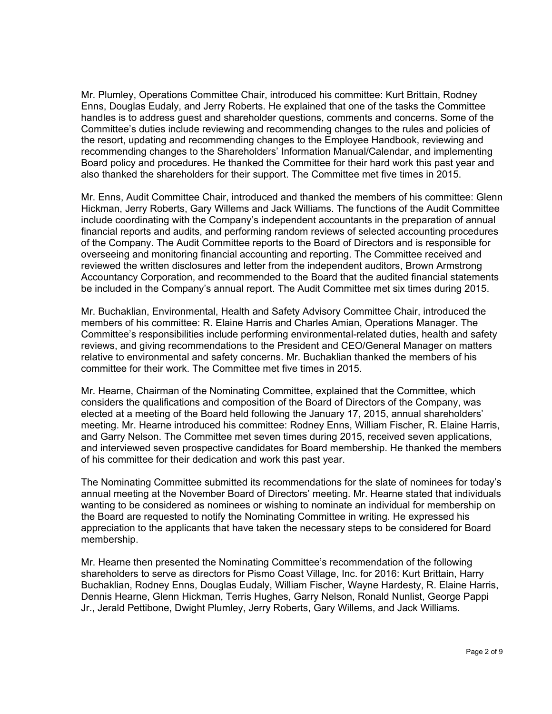Mr. Plumley, Operations Committee Chair, introduced his committee: Kurt Brittain, Rodney Enns, Douglas Eudaly, and Jerry Roberts. He explained that one of the tasks the Committee handles is to address guest and shareholder questions, comments and concerns. Some of the Committee's duties include reviewing and recommending changes to the rules and policies of the resort, updating and recommending changes to the Employee Handbook, reviewing and recommending changes to the Shareholders' Information Manual/Calendar, and implementing Board policy and procedures. He thanked the Committee for their hard work this past year and also thanked the shareholders for their support. The Committee met five times in 2015.

Mr. Enns, Audit Committee Chair, introduced and thanked the members of his committee: Glenn Hickman, Jerry Roberts, Gary Willems and Jack Williams. The functions of the Audit Committee include coordinating with the Company's independent accountants in the preparation of annual financial reports and audits, and performing random reviews of selected accounting procedures of the Company. The Audit Committee reports to the Board of Directors and is responsible for overseeing and monitoring financial accounting and reporting. The Committee received and reviewed the written disclosures and letter from the independent auditors, Brown Armstrong Accountancy Corporation, and recommended to the Board that the audited financial statements be included in the Company's annual report. The Audit Committee met six times during 2015.

Mr. Buchaklian, Environmental, Health and Safety Advisory Committee Chair, introduced the members of his committee: R. Elaine Harris and Charles Amian, Operations Manager. The Committee's responsibilities include performing environmental-related duties, health and safety reviews, and giving recommendations to the President and CEO/General Manager on matters relative to environmental and safety concerns. Mr. Buchaklian thanked the members of his committee for their work. The Committee met five times in 2015.

Mr. Hearne, Chairman of the Nominating Committee, explained that the Committee, which considers the qualifications and composition of the Board of Directors of the Company, was elected at a meeting of the Board held following the January 17, 2015, annual shareholders' meeting. Mr. Hearne introduced his committee: Rodney Enns, William Fischer, R. Elaine Harris, and Garry Nelson. The Committee met seven times during 2015, received seven applications, and interviewed seven prospective candidates for Board membership. He thanked the members of his committee for their dedication and work this past year.

The Nominating Committee submitted its recommendations for the slate of nominees for today's annual meeting at the November Board of Directors' meeting. Mr. Hearne stated that individuals wanting to be considered as nominees or wishing to nominate an individual for membership on the Board are requested to notify the Nominating Committee in writing. He expressed his appreciation to the applicants that have taken the necessary steps to be considered for Board membership.

Mr. Hearne then presented the Nominating Committee's recommendation of the following shareholders to serve as directors for Pismo Coast Village, Inc. for 2016: Kurt Brittain, Harry Buchaklian, Rodney Enns, Douglas Eudaly, William Fischer, Wayne Hardesty, R. Elaine Harris, Dennis Hearne, Glenn Hickman, Terris Hughes, Garry Nelson, Ronald Nunlist, George Pappi Jr., Jerald Pettibone, Dwight Plumley, Jerry Roberts, Gary Willems, and Jack Williams.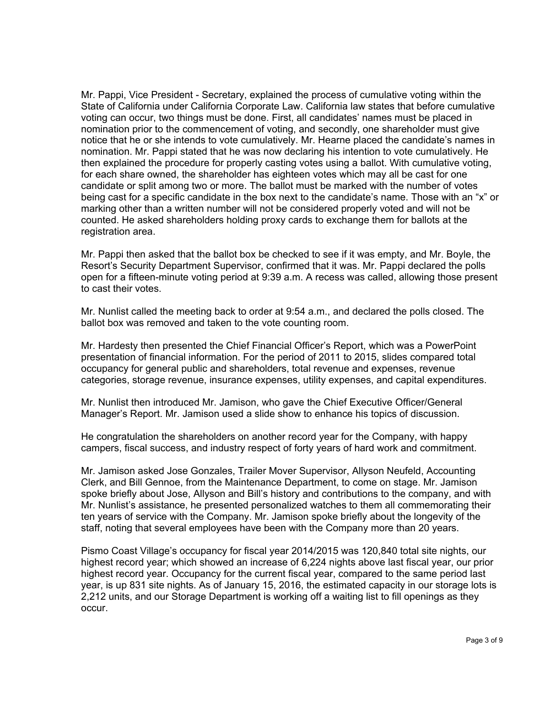Mr. Pappi, Vice President - Secretary, explained the process of cumulative voting within the State of California under California Corporate Law. California law states that before cumulative voting can occur, two things must be done. First, all candidates' names must be placed in nomination prior to the commencement of voting, and secondly, one shareholder must give notice that he or she intends to vote cumulatively. Mr. Hearne placed the candidate's names in nomination. Mr. Pappi stated that he was now declaring his intention to vote cumulatively. He then explained the procedure for properly casting votes using a ballot. With cumulative voting, for each share owned, the shareholder has eighteen votes which may all be cast for one candidate or split among two or more. The ballot must be marked with the number of votes being cast for a specific candidate in the box next to the candidate's name. Those with an "x" or marking other than a written number will not be considered properly voted and will not be counted. He asked shareholders holding proxy cards to exchange them for ballots at the registration area.

Mr. Pappi then asked that the ballot box be checked to see if it was empty, and Mr. Boyle, the Resort's Security Department Supervisor, confirmed that it was. Mr. Pappi declared the polls open for a fifteen-minute voting period at 9:39 a.m. A recess was called, allowing those present to cast their votes.

Mr. Nunlist called the meeting back to order at 9:54 a.m., and declared the polls closed. The ballot box was removed and taken to the vote counting room.

Mr. Hardesty then presented the Chief Financial Officer's Report, which was a PowerPoint presentation of financial information. For the period of 2011 to 2015, slides compared total occupancy for general public and shareholders, total revenue and expenses, revenue categories, storage revenue, insurance expenses, utility expenses, and capital expenditures.

Mr. Nunlist then introduced Mr. Jamison, who gave the Chief Executive Officer/General Manager's Report. Mr. Jamison used a slide show to enhance his topics of discussion.

He congratulation the shareholders on another record year for the Company, with happy campers, fiscal success, and industry respect of forty years of hard work and commitment.

Mr. Jamison asked Jose Gonzales, Trailer Mover Supervisor, Allyson Neufeld, Accounting Clerk, and Bill Gennoe, from the Maintenance Department, to come on stage. Mr. Jamison spoke briefly about Jose, Allyson and Bill's history and contributions to the company, and with Mr. Nunlist's assistance, he presented personalized watches to them all commemorating their ten years of service with the Company. Mr. Jamison spoke briefly about the longevity of the staff, noting that several employees have been with the Company more than 20 years.

Pismo Coast Village's occupancy for fiscal year 2014/2015 was 120,840 total site nights, our highest record year; which showed an increase of 6,224 nights above last fiscal year, our prior highest record year. Occupancy for the current fiscal year, compared to the same period last year, is up 831 site nights. As of January 15, 2016, the estimated capacity in our storage lots is 2,212 units, and our Storage Department is working off a waiting list to fill openings as they occur.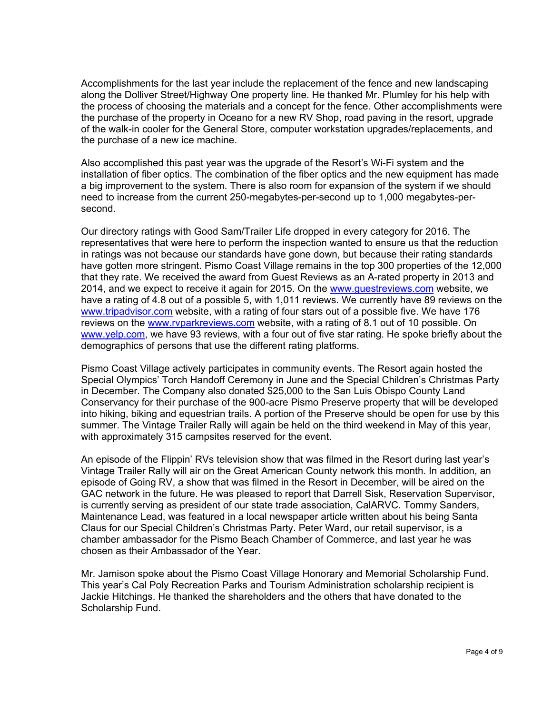Accomplishments for the last year include the replacement of the fence and new landscaping along the Dolliver Street/Highway One property line. He thanked Mr. Plumley for his help with the process of choosing the materials and a concept for the fence. Other accomplishments were the purchase of the property in Oceano for a new RV Shop, road paving in the resort, upgrade of the walk-in cooler for the General Store, computer workstation upgrades/replacements, and the purchase of a new ice machine.

Also accomplished this past year was the upgrade of the Resort's Wi-Fi system and the installation of fiber optics. The combination of the fiber optics and the new equipment has made a big improvement to the system. There is also room for expansion of the system if we should need to increase from the current 250-megabytes-per-second up to 1,000 megabytes-persecond.

Our directory ratings with Good Sam/Trailer Life dropped in every category for 2016. The representatives that were here to perform the inspection wanted to ensure us that the reduction in ratings was not because our standards have gone down, but because their rating standards have gotten more stringent. Pismo Coast Village remains in the top 300 properties of the 12,000 that they rate. We received the award from Guest Reviews as an A-rated property in 2013 and 2014, and we expect to receive it again for 2015. On the [www.guestreviews.com](http://www.guestreviews.com/) website, we have a rating of 4.8 out of a possible 5, with 1,011 reviews. We currently have 89 reviews on the [www.tripadvisor.com](http://www.tripadvisor.com/) website, with a rating of four stars out of a possible five. We have 176 reviews on the [www.rvparkreviews.com](http://www.rvparkreviews.com/) website, with a rating of 8.1 out of 10 possible. On [www.yelp.com,](http://www.yelp.com/) we have 93 reviews, with a four out of five star rating. He spoke briefly about the demographics of persons that use the different rating platforms.

Pismo Coast Village actively participates in community events. The Resort again hosted the Special Olympics' Torch Handoff Ceremony in June and the Special Children's Christmas Party in December. The Company also donated \$25,000 to the San Luis Obispo County Land Conservancy for their purchase of the 900-acre Pismo Preserve property that will be developed into hiking, biking and equestrian trails. A portion of the Preserve should be open for use by this summer. The Vintage Trailer Rally will again be held on the third weekend in May of this year, with approximately 315 campsites reserved for the event.

An episode of the Flippin' RVs television show that was filmed in the Resort during last year's Vintage Trailer Rally will air on the Great American County network this month. In addition, an episode of Going RV, a show that was filmed in the Resort in December, will be aired on the GAC network in the future. He was pleased to report that Darrell Sisk, Reservation Supervisor, is currently serving as president of our state trade association, CalARVC. Tommy Sanders, Maintenance Lead, was featured in a local newspaper article written about his being Santa Claus for our Special Children's Christmas Party. Peter Ward, our retail supervisor, is a chamber ambassador for the Pismo Beach Chamber of Commerce, and last year he was chosen as their Ambassador of the Year.

Mr. Jamison spoke about the Pismo Coast Village Honorary and Memorial Scholarship Fund. This year's Cal Poly Recreation Parks and Tourism Administration scholarship recipient is Jackie Hitchings. He thanked the shareholders and the others that have donated to the Scholarship Fund.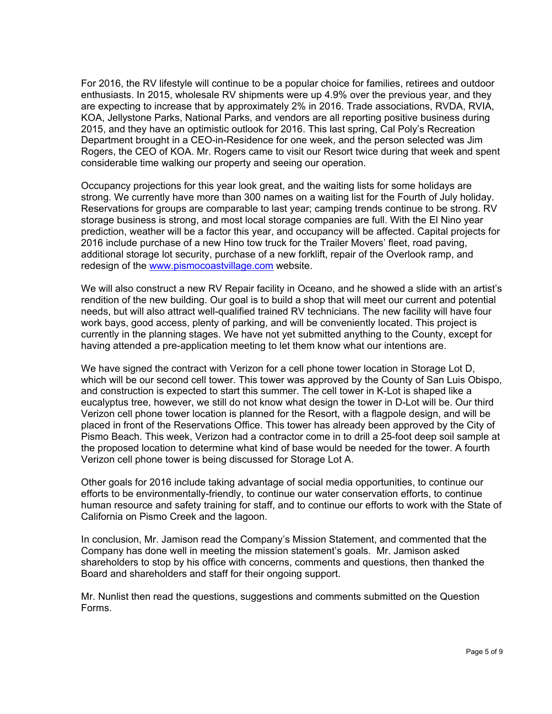For 2016, the RV lifestyle will continue to be a popular choice for families, retirees and outdoor enthusiasts. In 2015, wholesale RV shipments were up 4.9% over the previous year, and they are expecting to increase that by approximately 2% in 2016. Trade associations, RVDA, RVIA, KOA, Jellystone Parks, National Parks, and vendors are all reporting positive business during 2015, and they have an optimistic outlook for 2016. This last spring, Cal Poly's Recreation Department brought in a CEO-in-Residence for one week, and the person selected was Jim Rogers, the CEO of KOA. Mr. Rogers came to visit our Resort twice during that week and spent considerable time walking our property and seeing our operation.

Occupancy projections for this year look great, and the waiting lists for some holidays are strong. We currently have more than 300 names on a waiting list for the Fourth of July holiday. Reservations for groups are comparable to last year; camping trends continue to be strong. RV storage business is strong, and most local storage companies are full. With the El Nino year prediction, weather will be a factor this year, and occupancy will be affected. Capital projects for 2016 include purchase of a new Hino tow truck for the Trailer Movers' fleet, road paving, additional storage lot security, purchase of a new forklift, repair of the Overlook ramp, and redesign of the [www.pismocoastvillage.com](http://www.pismocoastvillage.com/) website.

We will also construct a new RV Repair facility in Oceano, and he showed a slide with an artist's rendition of the new building. Our goal is to build a shop that will meet our current and potential needs, but will also attract well-qualified trained RV technicians. The new facility will have four work bays, good access, plenty of parking, and will be conveniently located. This project is currently in the planning stages. We have not yet submitted anything to the County, except for having attended a pre-application meeting to let them know what our intentions are.

We have signed the contract with Verizon for a cell phone tower location in Storage Lot D, which will be our second cell tower. This tower was approved by the County of San Luis Obispo, and construction is expected to start this summer. The cell tower in K-Lot is shaped like a eucalyptus tree, however, we still do not know what design the tower in D-Lot will be. Our third Verizon cell phone tower location is planned for the Resort, with a flagpole design, and will be placed in front of the Reservations Office. This tower has already been approved by the City of Pismo Beach. This week, Verizon had a contractor come in to drill a 25-foot deep soil sample at the proposed location to determine what kind of base would be needed for the tower. A fourth Verizon cell phone tower is being discussed for Storage Lot A.

Other goals for 2016 include taking advantage of social media opportunities, to continue our efforts to be environmentally-friendly, to continue our water conservation efforts, to continue human resource and safety training for staff, and to continue our efforts to work with the State of California on Pismo Creek and the lagoon.

In conclusion, Mr. Jamison read the Company's Mission Statement, and commented that the Company has done well in meeting the mission statement's goals. Mr. Jamison asked shareholders to stop by his office with concerns, comments and questions, then thanked the Board and shareholders and staff for their ongoing support.

Mr. Nunlist then read the questions, suggestions and comments submitted on the Question Forms.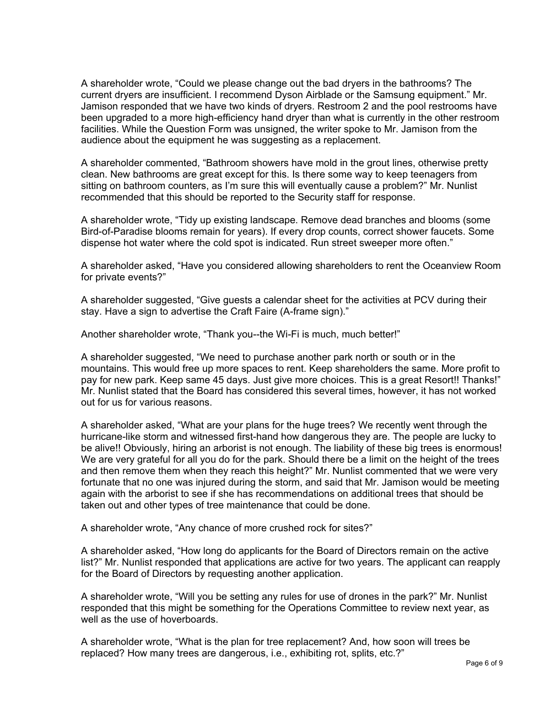A shareholder wrote, "Could we please change out the bad dryers in the bathrooms? The current dryers are insufficient. I recommend Dyson Airblade or the Samsung equipment." Mr. Jamison responded that we have two kinds of dryers. Restroom 2 and the pool restrooms have been upgraded to a more high-efficiency hand dryer than what is currently in the other restroom facilities. While the Question Form was unsigned, the writer spoke to Mr. Jamison from the audience about the equipment he was suggesting as a replacement.

A shareholder commented, "Bathroom showers have mold in the grout lines, otherwise pretty clean. New bathrooms are great except for this. Is there some way to keep teenagers from sitting on bathroom counters, as I'm sure this will eventually cause a problem?" Mr. Nunlist recommended that this should be reported to the Security staff for response.

A shareholder wrote, "Tidy up existing landscape. Remove dead branches and blooms (some Bird-of-Paradise blooms remain for years). If every drop counts, correct shower faucets. Some dispense hot water where the cold spot is indicated. Run street sweeper more often."

A shareholder asked, "Have you considered allowing shareholders to rent the Oceanview Room for private events?"

A shareholder suggested, "Give guests a calendar sheet for the activities at PCV during their stay. Have a sign to advertise the Craft Faire (A-frame sign)."

Another shareholder wrote, "Thank you--the Wi-Fi is much, much better!"

A shareholder suggested, "We need to purchase another park north or south or in the mountains. This would free up more spaces to rent. Keep shareholders the same. More profit to pay for new park. Keep same 45 days. Just give more choices. This is a great Resort!! Thanks!" Mr. Nunlist stated that the Board has considered this several times, however, it has not worked out for us for various reasons.

A shareholder asked, "What are your plans for the huge trees? We recently went through the hurricane-like storm and witnessed first-hand how dangerous they are. The people are lucky to be alive!! Obviously, hiring an arborist is not enough. The liability of these big trees is enormous! We are very grateful for all you do for the park. Should there be a limit on the height of the trees and then remove them when they reach this height?" Mr. Nunlist commented that we were very fortunate that no one was injured during the storm, and said that Mr. Jamison would be meeting again with the arborist to see if she has recommendations on additional trees that should be taken out and other types of tree maintenance that could be done.

A shareholder wrote, "Any chance of more crushed rock for sites?"

A shareholder asked, "How long do applicants for the Board of Directors remain on the active list?" Mr. Nunlist responded that applications are active for two years. The applicant can reapply for the Board of Directors by requesting another application.

A shareholder wrote, "Will you be setting any rules for use of drones in the park?" Mr. Nunlist responded that this might be something for the Operations Committee to review next year, as well as the use of hoverboards.

A shareholder wrote, "What is the plan for tree replacement? And, how soon will trees be replaced? How many trees are dangerous, i.e., exhibiting rot, splits, etc.?"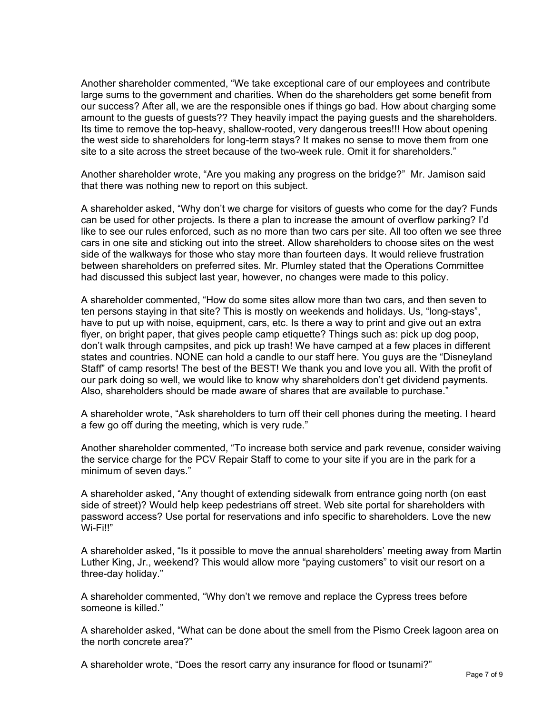Another shareholder commented, "We take exceptional care of our employees and contribute large sums to the government and charities. When do the shareholders get some benefit from our success? After all, we are the responsible ones if things go bad. How about charging some amount to the guests of guests?? They heavily impact the paying guests and the shareholders. Its time to remove the top-heavy, shallow-rooted, very dangerous trees!!! How about opening the west side to shareholders for long-term stays? It makes no sense to move them from one site to a site across the street because of the two-week rule. Omit it for shareholders."

Another shareholder wrote, "Are you making any progress on the bridge?" Mr. Jamison said that there was nothing new to report on this subject.

A shareholder asked, "Why don't we charge for visitors of guests who come for the day? Funds can be used for other projects. Is there a plan to increase the amount of overflow parking? I'd like to see our rules enforced, such as no more than two cars per site. All too often we see three cars in one site and sticking out into the street. Allow shareholders to choose sites on the west side of the walkways for those who stay more than fourteen days. It would relieve frustration between shareholders on preferred sites. Mr. Plumley stated that the Operations Committee had discussed this subject last year, however, no changes were made to this policy.

A shareholder commented, "How do some sites allow more than two cars, and then seven to ten persons staying in that site? This is mostly on weekends and holidays. Us, "long-stays", have to put up with noise, equipment, cars, etc. Is there a way to print and give out an extra flyer, on bright paper, that gives people camp etiquette? Things such as: pick up dog poop, don't walk through campsites, and pick up trash! We have camped at a few places in different states and countries. NONE can hold a candle to our staff here. You guys are the "Disneyland Staff" of camp resorts! The best of the BEST! We thank you and love you all. With the profit of our park doing so well, we would like to know why shareholders don't get dividend payments. Also, shareholders should be made aware of shares that are available to purchase."

A shareholder wrote, "Ask shareholders to turn off their cell phones during the meeting. I heard a few go off during the meeting, which is very rude."

Another shareholder commented, "To increase both service and park revenue, consider waiving the service charge for the PCV Repair Staff to come to your site if you are in the park for a minimum of seven days."

A shareholder asked, "Any thought of extending sidewalk from entrance going north (on east side of street)? Would help keep pedestrians off street. Web site portal for shareholders with password access? Use portal for reservations and info specific to shareholders. Love the new Wi-Fi!!"

A shareholder asked, "Is it possible to move the annual shareholders' meeting away from Martin Luther King, Jr., weekend? This would allow more "paying customers" to visit our resort on a three-day holiday."

A shareholder commented, "Why don't we remove and replace the Cypress trees before someone is killed."

A shareholder asked, "What can be done about the smell from the Pismo Creek lagoon area on the north concrete area?"

A shareholder wrote, "Does the resort carry any insurance for flood or tsunami?"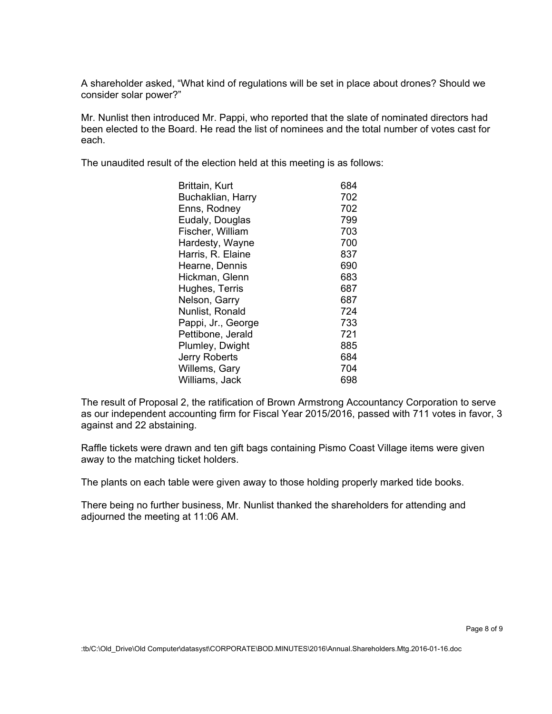A shareholder asked, "What kind of regulations will be set in place about drones? Should we consider solar power?"

Mr. Nunlist then introduced Mr. Pappi, who reported that the slate of nominated directors had been elected to the Board. He read the list of nominees and the total number of votes cast for each.

The unaudited result of the election held at this meeting is as follows:

| 684 |
|-----|
| 702 |
| 702 |
| 799 |
| 703 |
| 700 |
| 837 |
| 690 |
| 683 |
| 687 |
| 687 |
| 724 |
| 733 |
| 721 |
| 885 |
| 684 |
| 704 |
| 698 |
|     |

The result of Proposal 2, the ratification of Brown Armstrong Accountancy Corporation to serve as our independent accounting firm for Fiscal Year 2015/2016, passed with 711 votes in favor, 3 against and 22 abstaining.

Raffle tickets were drawn and ten gift bags containing Pismo Coast Village items were given away to the matching ticket holders.

The plants on each table were given away to those holding properly marked tide books.

There being no further business, Mr. Nunlist thanked the shareholders for attending and adjourned the meeting at 11:06 AM.